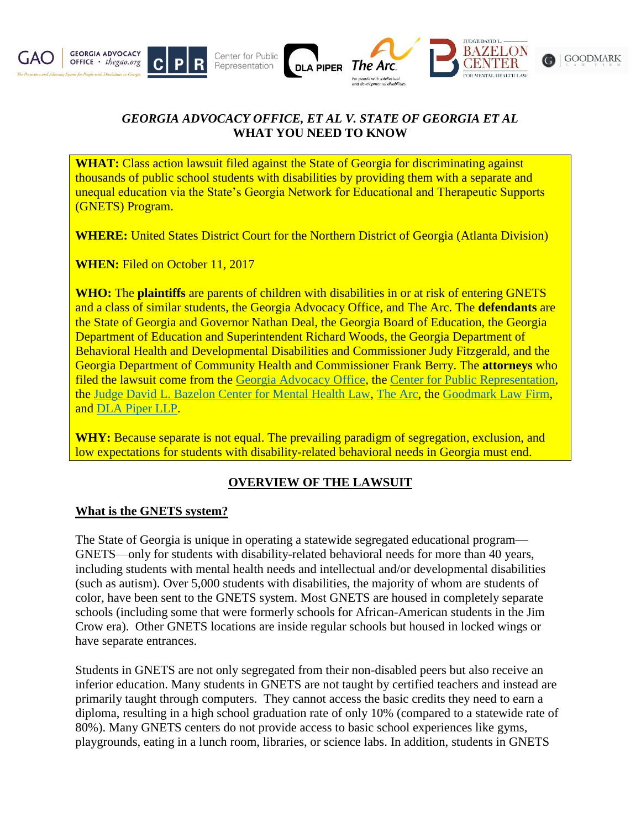

# *GEORGIA ADVOCACY OFFICE, ET AL V. STATE OF GEORGIA ET AL* **WHAT YOU NEED TO KNOW**

**WHAT:** Class action lawsuit filed against the State of Georgia for discriminating against thousands of public school students with disabilities by providing them with a separate and unequal education via the State's Georgia Network for Educational and Therapeutic Supports (GNETS) Program.

**WHERE:** United States District Court for the Northern District of Georgia (Atlanta Division)

**WHEN:** Filed on October 11, 2017

**WHO:** The **plaintiffs** are parents of children with disabilities in or at risk of entering GNETS and a class of similar students, the Georgia Advocacy Office, and The Arc. The **defendants** are the State of Georgia and Governor Nathan Deal, the Georgia Board of Education, the Georgia Department of Education and Superintendent Richard Woods, the Georgia Department of Behavioral Health and Developmental Disabilities and Commissioner Judy Fitzgerald, and the Georgia Department of Community Health and Commissioner Frank Berry. The **attorneys** who filed the lawsuit come from the [Georgia Advocacy Office,](http://thegao.org/) the [Center for Public Representation,](https://centerforpublicrep.org/) the [Judge David L. Bazelon Center for Mental Health Law,](http://www.bazelon.org/) [The Arc,](http://www.thearc.org/) the [Goodmark Law Firm,](http://goodmarklaw.com/) and [DLA Piper LLP.](https://www.dlapiper.com/en/us/)

WHY: Because separate is not equal. The prevailing paradigm of segregation, exclusion, and low expectations for students with disability-related behavioral needs in Georgia must end.

# **OVERVIEW OF THE LAWSUIT**

#### **What is the GNETS system?**

The State of Georgia is unique in operating a statewide segregated educational program— GNETS—only for students with disability-related behavioral needs for more than 40 years, including students with mental health needs and intellectual and/or developmental disabilities (such as autism). Over 5,000 students with disabilities, the majority of whom are students of color, have been sent to the GNETS system. Most GNETS are housed in completely separate schools (including some that were formerly schools for African-American students in the Jim Crow era). Other GNETS locations are inside regular schools but housed in locked wings or have separate entrances.

Students in GNETS are not only segregated from their non-disabled peers but also receive an inferior education. Many students in GNETS are not taught by certified teachers and instead are primarily taught through computers. They cannot access the basic credits they need to earn a diploma, resulting in a high school graduation rate of only 10% (compared to a statewide rate of 80%). Many GNETS centers do not provide access to basic school experiences like gyms, playgrounds, eating in a lunch room, libraries, or science labs. In addition, students in GNETS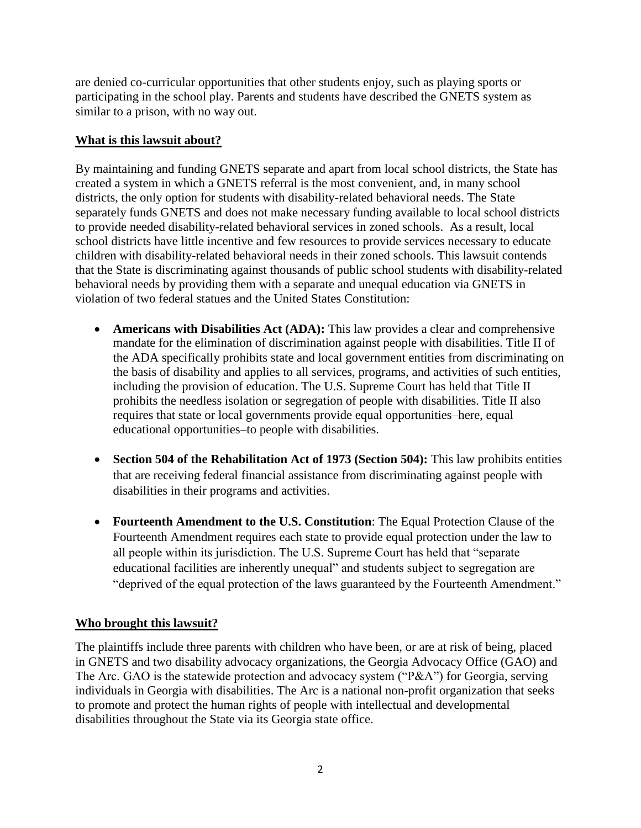are denied co-curricular opportunities that other students enjoy, such as playing sports or participating in the school play. Parents and students have described the GNETS system as similar to a prison, with no way out.

### **What is this lawsuit about?**

By maintaining and funding GNETS separate and apart from local school districts, the State has created a system in which a GNETS referral is the most convenient, and, in many school districts, the only option for students with disability-related behavioral needs. The State separately funds GNETS and does not make necessary funding available to local school districts to provide needed disability-related behavioral services in zoned schools. As a result, local school districts have little incentive and few resources to provide services necessary to educate children with disability-related behavioral needs in their zoned schools. This lawsuit contends that the State is discriminating against thousands of public school students with disability-related behavioral needs by providing them with a separate and unequal education via GNETS in violation of two federal statues and the United States Constitution:

- **Americans with Disabilities Act (ADA):** This law provides a clear and comprehensive mandate for the elimination of discrimination against people with disabilities. Title II of the ADA specifically prohibits state and local government entities from discriminating on the basis of disability and applies to all services, programs, and activities of such entities, including the provision of education. The U.S. Supreme Court has held that Title II prohibits the needless isolation or segregation of people with disabilities. Title II also requires that state or local governments provide equal opportunities–here, equal educational opportunities–to people with disabilities.
- **Section 504 of the Rehabilitation Act of 1973 (Section 504):** This law prohibits entities that are receiving federal financial assistance from discriminating against people with disabilities in their programs and activities.
- **Fourteenth Amendment to the U.S. Constitution**: The Equal Protection Clause of the Fourteenth Amendment requires each state to provide equal protection under the law to all people within its jurisdiction. The U.S. Supreme Court has held that "separate educational facilities are inherently unequal" and students subject to segregation are "deprived of the equal protection of the laws guaranteed by the Fourteenth Amendment."

# **Who brought this lawsuit?**

The plaintiffs include three parents with children who have been, or are at risk of being, placed in GNETS and two disability advocacy organizations, the Georgia Advocacy Office (GAO) and The Arc. GAO is the statewide protection and advocacy system ("P&A") for Georgia, serving individuals in Georgia with disabilities. The Arc is a national non-profit organization that seeks to promote and protect the human rights of people with intellectual and developmental disabilities throughout the State via its Georgia state office.